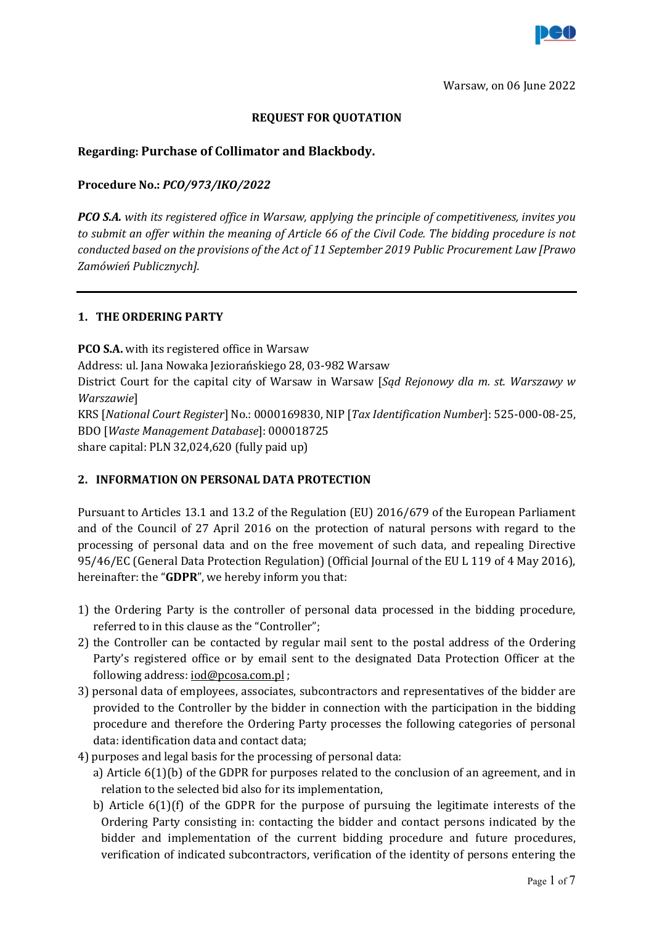

# REQUEST FOR QUOTATION

# Regarding: Purchase of Collimator and Blackbody.

# Procedure No.: PCO/973/IKO/2022

**PCO S.A.** with its registered office in Warsaw, applying the principle of competitiveness, invites you to submit an offer within the meaning of Article 66 of the Civil Code. The bidding procedure is not conducted based on the provisions of the Act of 11 September 2019 Public Procurement Law [Prawo Zamówień Publicznych].

### 1. THE ORDERING PARTY

PCO S.A. with its registered office in Warsaw Address: ul. Jana Nowaka Jeziorańskiego 28, 03-982 Warsaw District Court for the capital city of Warsaw in Warsaw [Sqd Rejonowy dla m. st. Warszawy w Warszawie] KRS [National Court Register] No.: 0000169830, NIP [Tax Identification Number]: 525-000-08-25, BDO [Waste Management Database]: 000018725 share capital: PLN 32,024,620 (fully paid up)

# 2. INFORMATION ON PERSONAL DATA PROTECTION

Pursuant to Articles 13.1 and 13.2 of the Regulation (EU) 2016/679 of the European Parliament and of the Council of 27 April 2016 on the protection of natural persons with regard to the processing of personal data and on the free movement of such data, and repealing Directive 95/46/EC (General Data Protection Regulation) (Official Journal of the EU L 119 of 4 May 2016), hereinafter: the "GDPR", we hereby inform you that:

- 1) the Ordering Party is the controller of personal data processed in the bidding procedure, referred to in this clause as the "Controller";
- 2) the Controller can be contacted by regular mail sent to the postal address of the Ordering Party's registered office or by email sent to the designated Data Protection Officer at the following address: iod@pcosa.com.pl ;
- 3) personal data of employees, associates, subcontractors and representatives of the bidder are provided to the Controller by the bidder in connection with the participation in the bidding procedure and therefore the Ordering Party processes the following categories of personal data: identification data and contact data;
- 4) purposes and legal basis for the processing of personal data:
	- a) Article 6(1)(b) of the GDPR for purposes related to the conclusion of an agreement, and in relation to the selected bid also for its implementation,
	- b) Article  $6(1)(f)$  of the GDPR for the purpose of pursuing the legitimate interests of the Ordering Party consisting in: contacting the bidder and contact persons indicated by the bidder and implementation of the current bidding procedure and future procedures, verification of indicated subcontractors, verification of the identity of persons entering the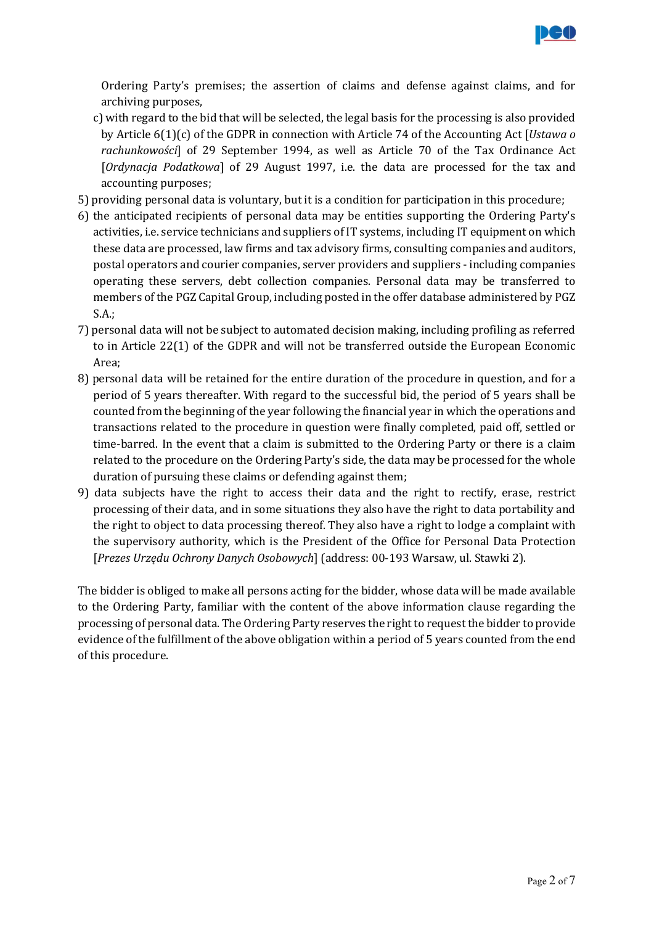

Ordering Party's premises; the assertion of claims and defense against claims, and for archiving purposes,

- c) with regard to the bid that will be selected, the legal basis for the processing is also provided by Article 6(1)(c) of the GDPR in connection with Article 74 of the Accounting Act [Ustawa o rachunkowości] of 29 September 1994, as well as Article 70 of the Tax Ordinance Act [Ordynacja Podatkowa] of 29 August 1997, i.e. the data are processed for the tax and accounting purposes;
- 5) providing personal data is voluntary, but it is a condition for participation in this procedure;
- 6) the anticipated recipients of personal data may be entities supporting the Ordering Party's activities, i.e. service technicians and suppliers of IT systems, including IT equipment on which these data are processed, law firms and tax advisory firms, consulting companies and auditors, postal operators and courier companies, server providers and suppliers - including companies operating these servers, debt collection companies. Personal data may be transferred to members of the PGZ Capital Group, including posted in the offer database administered by PGZ S.A.;
- 7) personal data will not be subject to automated decision making, including profiling as referred to in Article 22(1) of the GDPR and will not be transferred outside the European Economic Area;
- 8) personal data will be retained for the entire duration of the procedure in question, and for a period of 5 years thereafter. With regard to the successful bid, the period of 5 years shall be counted from the beginning of the year following the financial year in which the operations and transactions related to the procedure in question were finally completed, paid off, settled or time-barred. In the event that a claim is submitted to the Ordering Party or there is a claim related to the procedure on the Ordering Party's side, the data may be processed for the whole duration of pursuing these claims or defending against them;
- 9) data subjects have the right to access their data and the right to rectify, erase, restrict processing of their data, and in some situations they also have the right to data portability and the right to object to data processing thereof. They also have a right to lodge a complaint with the supervisory authority, which is the President of the Office for Personal Data Protection [Prezes Urzędu Ochrony Danych Osobowych] (address: 00-193 Warsaw, ul. Stawki 2).

The bidder is obliged to make all persons acting for the bidder, whose data will be made available to the Ordering Party, familiar with the content of the above information clause regarding the processing of personal data. The Ordering Party reserves the right to request the bidder to provide evidence of the fulfillment of the above obligation within a period of 5 years counted from the end of this procedure.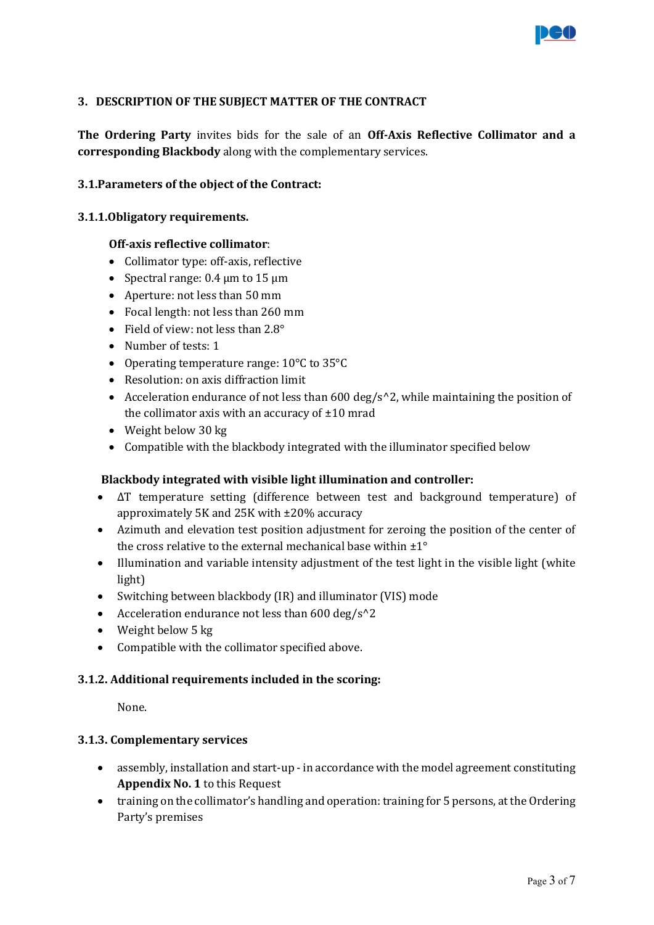

# 3. DESCRIPTION OF THE SUBJECT MATTER OF THE CONTRACT

The Ordering Party invites bids for the sale of an Off-Axis Reflective Collimator and a corresponding Blackbody along with the complementary services.

### 3.1.Parameters of the object of the Contract:

#### 3.1.1.Obligatory requirements.

### Off-axis reflective collimator:

- Collimator type: off-axis, reflective
- Spectral range:  $0.4 \mu m$  to  $15 \mu m$
- Aperture: not less than 50 mm
- Focal length: not less than 260 mm
- Field of view: not less than 2.8°
- Number of tests: 1
- Operating temperature range: 10°C to 35°C
- Resolution: on axis diffraction limit
- Acceleration endurance of not less than 600 deg/s^2, while maintaining the position of the collimator axis with an accuracy of  $\pm 10$  mrad
- Weight below 30 kg
- Compatible with the blackbody integrated with the illuminator specified below

#### Blackbody integrated with visible light illumination and controller:

- ΔT temperature setting (difference between test and background temperature) of approximately 5K and 25K with ±20% accuracy
- Azimuth and elevation test position adjustment for zeroing the position of the center of the cross relative to the external mechanical base within ±1°
- Illumination and variable intensity adjustment of the test light in the visible light (white light)
- Switching between blackbody (IR) and illuminator (VIS) mode
- Acceleration endurance not less than  $600 \text{ deg/s}^2$
- Weight below 5 kg
- Compatible with the collimator specified above.

### 3.1.2. Additional requirements included in the scoring:

None.

#### 3.1.3. Complementary services

- assembly, installation and start-up in accordance with the model agreement constituting Appendix No. 1 to this Request
- training on the collimator's handling and operation: training for 5 persons, at the Ordering Party's premises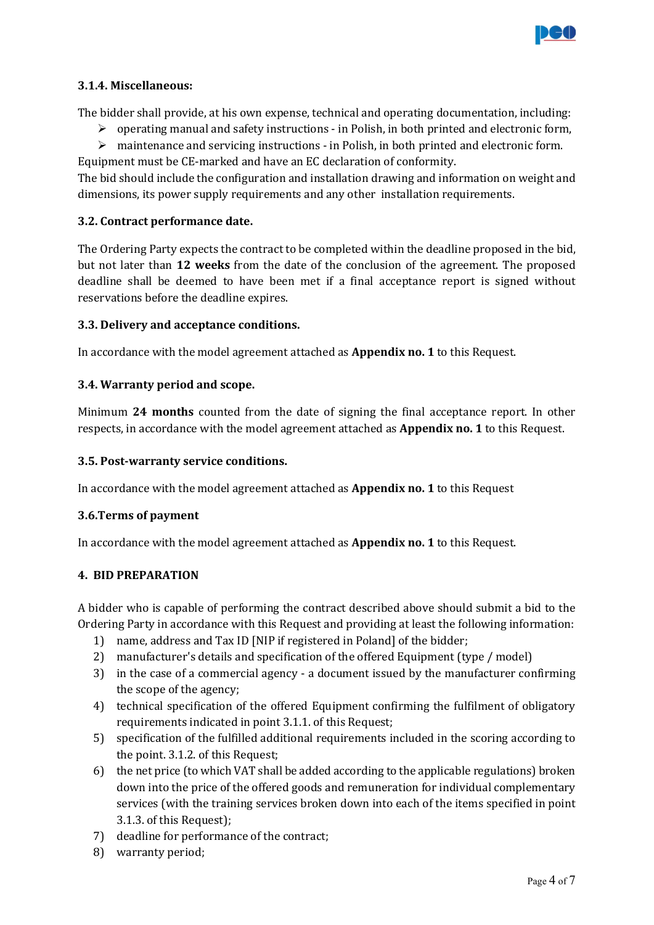

# 3.1.4. Miscellaneous:

The bidder shall provide, at his own expense, technical and operating documentation, including:

- $\triangleright$  operating manual and safety instructions in Polish, in both printed and electronic form,
- $\triangleright$  maintenance and servicing instructions in Polish, in both printed and electronic form.

Equipment must be CE-marked and have an EC declaration of conformity.

The bid should include the configuration and installation drawing and information on weight and dimensions, its power supply requirements and any other installation requirements.

# 3.2. Contract performance date.

The Ordering Party expects the contract to be completed within the deadline proposed in the bid, but not later than 12 weeks from the date of the conclusion of the agreement. The proposed deadline shall be deemed to have been met if a final acceptance report is signed without reservations before the deadline expires.

# 3.3. Delivery and acceptance conditions.

In accordance with the model agreement attached as Appendix no. 1 to this Request.

# 3.4. Warranty period and scope.

Minimum 24 months counted from the date of signing the final acceptance report. In other respects, in accordance with the model agreement attached as Appendix no. 1 to this Request.

## 3.5. Post-warranty service conditions.

In accordance with the model agreement attached as **Appendix no. 1** to this Request

# 3.6.Terms of payment

In accordance with the model agreement attached as Appendix no. 1 to this Request.

# 4. BID PREPARATION

A bidder who is capable of performing the contract described above should submit a bid to the Ordering Party in accordance with this Request and providing at least the following information:

- 1) name, address and Tax ID [NIP if registered in Poland] of the bidder;
- 2) manufacturer's details and specification of the offered Equipment (type / model)
- 3) in the case of a commercial agency a document issued by the manufacturer confirming the scope of the agency;
- 4) technical specification of the offered Equipment confirming the fulfilment of obligatory requirements indicated in point 3.1.1. of this Request;
- 5) specification of the fulfilled additional requirements included in the scoring according to the point. 3.1.2. of this Request;
- 6) the net price (to which VAT shall be added according to the applicable regulations) broken down into the price of the offered goods and remuneration for individual complementary services (with the training services broken down into each of the items specified in point 3.1.3. of this Request);
- 7) deadline for performance of the contract;
- 8) warranty period;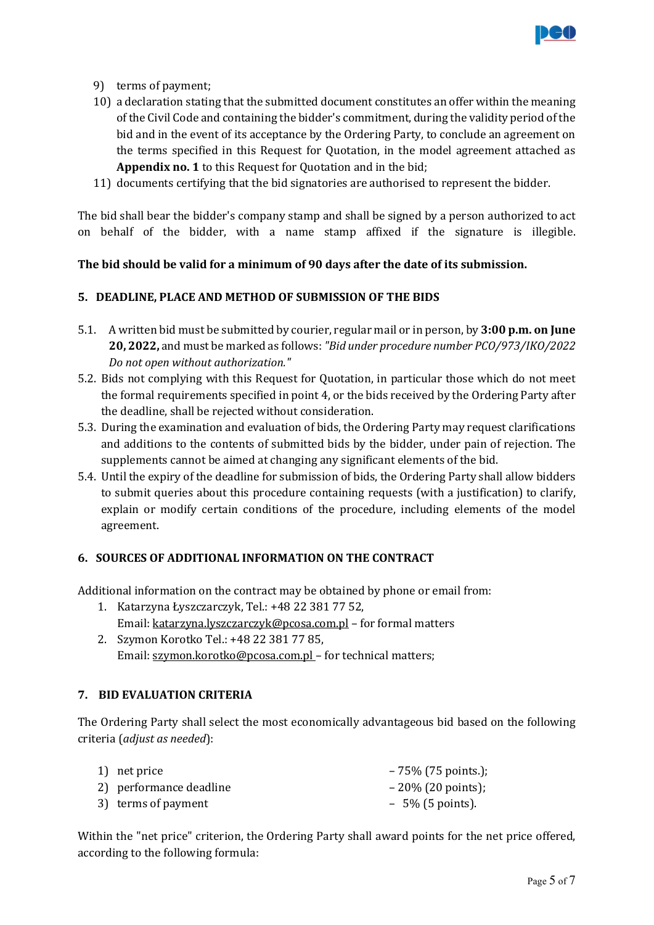

- 9) terms of payment;
- 10) a declaration stating that the submitted document constitutes an offer within the meaning of the Civil Code and containing the bidder's commitment, during the validity period of the bid and in the event of its acceptance by the Ordering Party, to conclude an agreement on the terms specified in this Request for Quotation, in the model agreement attached as Appendix no. 1 to this Request for Quotation and in the bid;
- 11) documents certifying that the bid signatories are authorised to represent the bidder.

The bid shall bear the bidder's company stamp and shall be signed by a person authorized to act on behalf of the bidder, with a name stamp affixed if the signature is illegible.

# The bid should be valid for a minimum of 90 days after the date of its submission.

# 5. DEADLINE, PLACE AND METHOD OF SUBMISSION OF THE BIDS

- 5.1. A written bid must be submitted by courier, regular mail or in person, by 3:00 p.m. on June 20, 2022, and must be marked as follows: "Bid under procedure number PCO/973/IKO/2022 Do not open without authorization."
- 5.2. Bids not complying with this Request for Quotation, in particular those which do not meet the formal requirements specified in point 4, or the bids received by the Ordering Party after the deadline, shall be rejected without consideration.
- 5.3. During the examination and evaluation of bids, the Ordering Party may request clarifications and additions to the contents of submitted bids by the bidder, under pain of rejection. The supplements cannot be aimed at changing any significant elements of the bid.
- 5.4. Until the expiry of the deadline for submission of bids, the Ordering Party shall allow bidders to submit queries about this procedure containing requests (with a justification) to clarify, explain or modify certain conditions of the procedure, including elements of the model agreement.

# 6. SOURCES OF ADDITIONAL INFORMATION ON THE CONTRACT

Additional information on the contract may be obtained by phone or email from:

- 1. Katarzyna Łyszczarczyk, Tel.: +48 22 381 77 52, Email: katarzyna.lyszczarczyk@pcosa.com.pl – for formal matters
- 2. Szymon Korotko Tel.: +48 22 381 77 85, Email: szymon.korotko@pcosa.com.pl – for technical matters;

# 7. BID EVALUATION CRITERIA

The Ordering Party shall select the most economically advantageous bid based on the following criteria (adjust as needed):

| 1) net price            | $-75\%$ (75 points.); |
|-------------------------|-----------------------|
| 2) performance deadline | $-20\%$ (20 points);  |
| 3) terms of payment     | $-5\%$ (5 points).    |

Within the "net price" criterion, the Ordering Party shall award points for the net price offered, according to the following formula: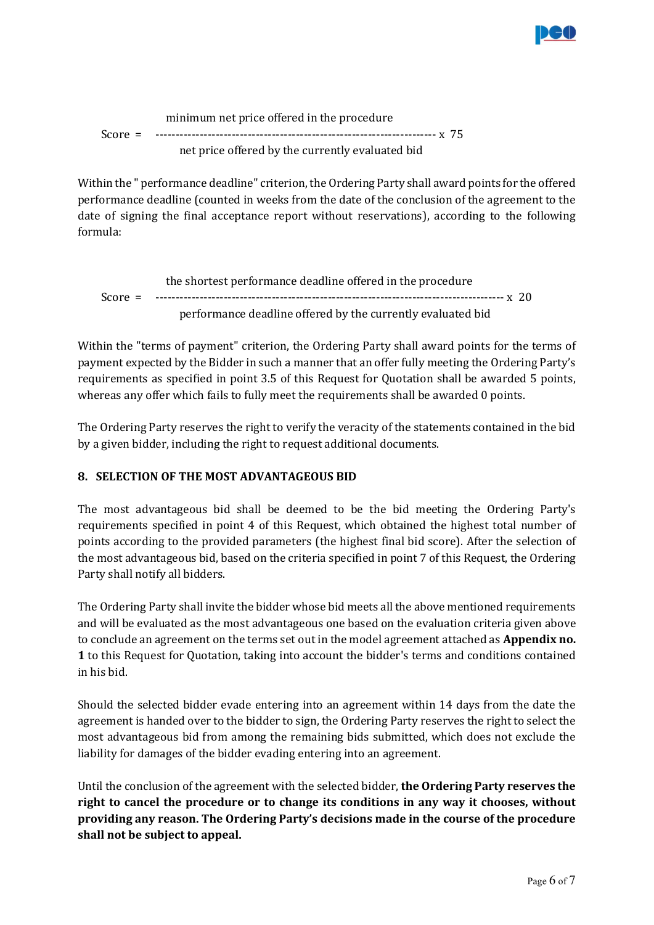

 minimum net price offered in the procedure Score = ---------------------------------------------------------------------- x 75 net price offered by the currently evaluated bid

Within the " performance deadline" criterion, the Ordering Party shall award points for the offered performance deadline (counted in weeks from the date of the conclusion of the agreement to the date of signing the final acceptance report without reservations), according to the following formula:

 the shortest performance deadline offered in the procedure Score = --------------------------------------------------------------------------------------- x 20 performance deadline offered by the currently evaluated bid

Within the "terms of payment" criterion, the Ordering Party shall award points for the terms of payment expected by the Bidder in such a manner that an offer fully meeting the Ordering Party's requirements as specified in point 3.5 of this Request for Quotation shall be awarded 5 points, whereas any offer which fails to fully meet the requirements shall be awarded 0 points.

The Ordering Party reserves the right to verify the veracity of the statements contained in the bid by a given bidder, including the right to request additional documents.

# 8. SELECTION OF THE MOST ADVANTAGEOUS BID

The most advantageous bid shall be deemed to be the bid meeting the Ordering Party's requirements specified in point 4 of this Request, which obtained the highest total number of points according to the provided parameters (the highest final bid score). After the selection of the most advantageous bid, based on the criteria specified in point 7 of this Request, the Ordering Party shall notify all bidders.

The Ordering Party shall invite the bidder whose bid meets all the above mentioned requirements and will be evaluated as the most advantageous one based on the evaluation criteria given above to conclude an agreement on the terms set out in the model agreement attached as Appendix no. 1 to this Request for Quotation, taking into account the bidder's terms and conditions contained in his bid.

Should the selected bidder evade entering into an agreement within 14 days from the date the agreement is handed over to the bidder to sign, the Ordering Party reserves the right to select the most advantageous bid from among the remaining bids submitted, which does not exclude the liability for damages of the bidder evading entering into an agreement.

Until the conclusion of the agreement with the selected bidder, the Ordering Party reserves the right to cancel the procedure or to change its conditions in any way it chooses, without providing any reason. The Ordering Party's decisions made in the course of the procedure shall not be subject to appeal.